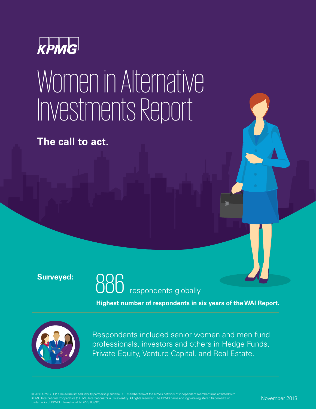

## Women in Alternative Investments Report

**The call to act.**

#### **Surveyed:**

respondents globally 886

**Highest number of respondents in six years of the WAI Report.**



Respondents included senior women and men fund professionals, investors and others in Hedge Funds, Private Equity, Venture Capital, and Real Estate.

© 2018 KPMG LLP, a Delaware limited liability partnership and the U.S. member firm of the KPMG network of independent member firms affiliated with KPMG International Cooperative ("KPMG International"), a Swiss entity. All rights reserved. The KPMG name and logo are registered trademarks o trademarks of KPMG International. NDPPS 809920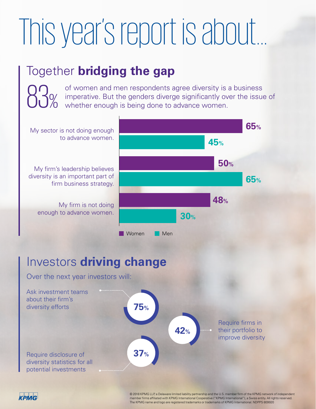## This year's report is about...

### Together **bridging the gap**

of women and men respondents agree diversity is a business imperative. But the genders diverge significantly over the issue of whether enough is being done to advance women.





© 2018 KPMG LLP, a Delaware limited liability partnership and the U.S. member firm of the KPMG network of independent member firms affiliated with KPMG International Cooperative ("KPMG International"), a Swiss entity. All rights reserved. The KPMG name and logo are registered trademarks or trademarks of KPMG International. NDPPS 809920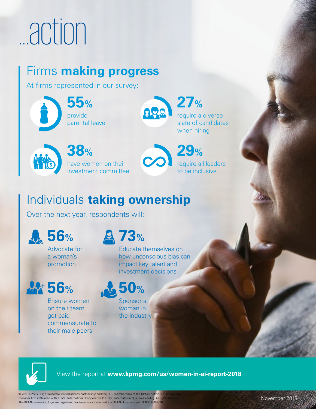# ...action

### Firms **making progress**

At firms represented in our survey:

provide parental leave **55%**



require a diverse slate of candidates when hiring **27%**

have women on their investment committee **38%**

require all leaders to be inclusive **29%**

### Individuals **taking ownership**

Over the next year, respondents will:



**14 56%** 

Ensure women on their team

commensurate to their male peers

get paid

**73%**

Educate themselves on how unconscious bias can impact key talent and investment decisions



Sponsor a woman in the industry



View the report at **www.kpmg.com/us/women-in-ai-report-2018**

© 2018 KPMG LLP, a Delaware limited liability partnership and the U.S. member firm of the KPMG network member firms affiliated with KPMG International Cooperative ("KPMG International"), a Swiss entity The KPMG name and logo are registered trademarks or trademarks of KPMG International. NDPPS 8099